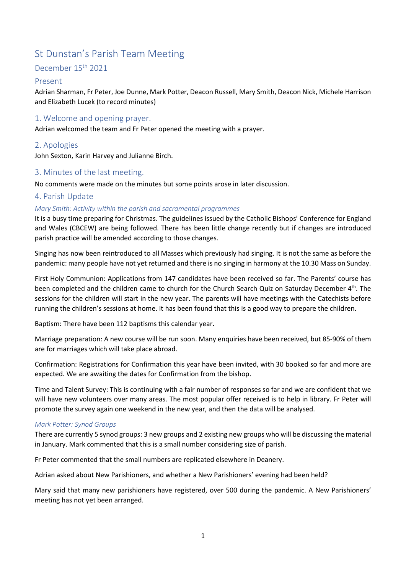# St Dunstan's Parish Team Meeting

# December 15th 2021

# Present

Adrian Sharman, Fr Peter, Joe Dunne, Mark Potter, Deacon Russell, Mary Smith, Deacon Nick, Michele Harrison and Elizabeth Lucek (to record minutes)

# 1. Welcome and opening prayer.

Adrian welcomed the team and Fr Peter opened the meeting with a prayer.

#### 2. Apologies

John Sexton, Karin Harvey and Julianne Birch.

# 3. Minutes of the last meeting.

No comments were made on the minutes but some points arose in later discussion.

#### 4. Parish Update

#### Mary Smith: Activity within the parish and sacramental programmes

It is a busy time preparing for Christmas. The guidelines issued by the Catholic Bishops' Conference for England and Wales (CBCEW) are being followed. There has been little change recently but if changes are introduced parish practice will be amended according to those changes.

Singing has now been reintroduced to all Masses which previously had singing. It is not the same as before the pandemic: many people have not yet returned and there is no singing in harmony at the 10.30 Mass on Sunday.

First Holy Communion: Applications from 147 candidates have been received so far. The Parents' course has been completed and the children came to church for the Church Search Quiz on Saturday December 4<sup>th</sup>. The sessions for the children will start in the new year. The parents will have meetings with the Catechists before running the children's sessions at home. It has been found that this is a good way to prepare the children.

Baptism: There have been 112 baptisms this calendar year.

Marriage preparation: A new course will be run soon. Many enquiries have been received, but 85-90% of them are for marriages which will take place abroad.

Confirmation: Registrations for Confirmation this year have been invited, with 30 booked so far and more are expected. We are awaiting the dates for Confirmation from the bishop.

Time and Talent Survey: This is continuing with a fair number of responses so far and we are confident that we will have new volunteers over many areas. The most popular offer received is to help in library. Fr Peter will promote the survey again one weekend in the new year, and then the data will be analysed.

#### Mark Potter: Synod Groups

There are currently 5 synod groups: 3 new groups and 2 existing new groups who will be discussing the material in January. Mark commented that this is a small number considering size of parish.

Fr Peter commented that the small numbers are replicated elsewhere in Deanery.

Adrian asked about New Parishioners, and whether a New Parishioners' evening had been held?

Mary said that many new parishioners have registered, over 500 during the pandemic. A New Parishioners' meeting has not yet been arranged.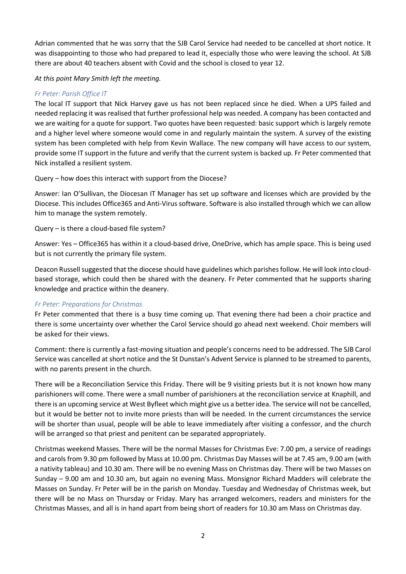Adrian commented that he was sorry that the SJB Carol Service had needed to be cancelled at short notice. It was disappointing to those who had prepared to lead it, especially those who were leaving the school. At SJB there are about 40 teachers absent with Covid and the school is closed to year 12.

At this point Mary Smith left the meeting.

#### Fr Peter: Parish Office IT

The local IT support that Nick Harvey gave us has not been replaced since he died. When a UPS failed and needed replacing it was realised that further professional help was needed. A company has been contacted and we are waiting for a quote for support. Two quotes have been requested: basic support which is largely remote and a higher level where someone would come in and regularly maintain the system. A survey of the existing system has been completed with help from Kevin Wallace. The new company will have access to our system, provide some IT support in the future and verify that the current system is backed up. Fr Peter commented that Nick installed a resilient system.

Query – how does this interact with support from the Diocese?

Answer: Ian O'Sullivan, the Diocesan IT Manager has set up software and licenses which are provided by the Diocese. This includes Office365 and Anti-Virus software. Software is also installed through which we can allow him to manage the system remotely.

Query – is there a cloud-based file system?

Answer: Yes – Office365 has within it a cloud-based drive, OneDrive, which has ample space. This is being used but is not currently the primary file system.

Deacon Russell suggested that the diocese should have guidelines which parishes follow. He will look into cloudbased storage, which could then be shared with the deanery. Fr Peter commented that he supports sharing knowledge and practice within the deanery.

#### Fr Peter: Preparations for Christmas

Fr Peter commented that there is a busy time coming up. That evening there had been a choir practice and there is some uncertainty over whether the Carol Service should go ahead next weekend. Choir members will be asked for their views.

Comment: there is currently a fast-moving situation and people's concerns need to be addressed. The SJB Carol Service was cancelled at short notice and the St Dunstan's Advent Service is planned to be streamed to parents, with no parents present in the church.

There will be a Reconciliation Service this Friday. There will be 9 visiting priests but it is not known how many parishioners will come. There were a small number of parishioners at the reconciliation service at Knaphill, and there is an upcoming service at West Byfleet which might give us a better idea. The service will not be cancelled, but it would be better not to invite more priests than will be needed. In the current circumstances the service will be shorter than usual, people will be able to leave immediately after visiting a confessor, and the church will be arranged so that priest and penitent can be separated appropriately.

Christmas weekend Masses. There will be the normal Masses for Christmas Eve: 7.00 pm, a service of readings and carols from 9.30 pm followed by Mass at 10.00 pm. Christmas Day Masses will be at 7.45 am, 9.00 am (with a nativity tableau) and 10.30 am. There will be no evening Mass on Christmas day. There will be two Masses on Sunday – 9.00 am and 10.30 am, but again no evening Mass. Monsignor Richard Madders will celebrate the Masses on Sunday. Fr Peter will be in the parish on Monday. Tuesday and Wednesday of Christmas week, but there will be no Mass on Thursday or Friday. Mary has arranged welcomers, readers and ministers for the Christmas Masses, and all is in hand apart from being short of readers for 10.30 am Mass on Christmas day.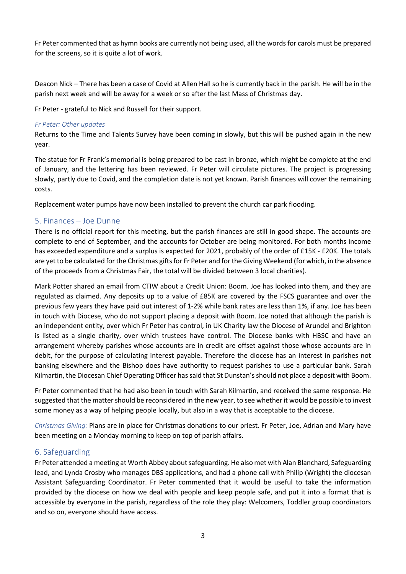Fr Peter commented that as hymn books are currently not being used, all the words for carols must be prepared for the screens, so it is quite a lot of work.

Deacon Nick – There has been a case of Covid at Allen Hall so he is currently back in the parish. He will be in the parish next week and will be away for a week or so after the last Mass of Christmas day.

Fr Peter - grateful to Nick and Russell for their support.

#### Fr Peter: Other updates

Returns to the Time and Talents Survey have been coming in slowly, but this will be pushed again in the new year.

The statue for Fr Frank's memorial is being prepared to be cast in bronze, which might be complete at the end of January, and the lettering has been reviewed. Fr Peter will circulate pictures. The project is progressing slowly, partly due to Covid, and the completion date is not yet known. Parish finances will cover the remaining costs.

Replacement water pumps have now been installed to prevent the church car park flooding.

# 5. Finances – Joe Dunne

There is no official report for this meeting, but the parish finances are still in good shape. The accounts are complete to end of September, and the accounts for October are being monitored. For both months income has exceeded expenditure and a surplus is expected for 2021, probably of the order of £15K - £20K. The totals are yet to be calculated for the Christmas gifts for Fr Peter and for the Giving Weekend (for which, in the absence of the proceeds from a Christmas Fair, the total will be divided between 3 local charities).

Mark Potter shared an email from CTIW about a Credit Union: Boom. Joe has looked into them, and they are regulated as claimed. Any deposits up to a value of £85K are covered by the FSCS guarantee and over the previous few years they have paid out interest of 1-2% while bank rates are less than 1%, if any. Joe has been in touch with Diocese, who do not support placing a deposit with Boom. Joe noted that although the parish is an independent entity, over which Fr Peter has control, in UK Charity law the Diocese of Arundel and Brighton is listed as a single charity, over which trustees have control. The Diocese banks with HBSC and have an arrangement whereby parishes whose accounts are in credit are offset against those whose accounts are in debit, for the purpose of calculating interest payable. Therefore the diocese has an interest in parishes not banking elsewhere and the Bishop does have authority to request parishes to use a particular bank. Sarah Kilmartin, the Diocesan Chief Operating Officer has said that St Dunstan's should not place a deposit with Boom.

Fr Peter commented that he had also been in touch with Sarah Kilmartin, and received the same response. He suggested that the matter should be reconsidered in the new year, to see whether it would be possible to invest some money as a way of helping people locally, but also in a way that is acceptable to the diocese.

Christmas Giving: Plans are in place for Christmas donations to our priest. Fr Peter, Joe, Adrian and Mary have been meeting on a Monday morning to keep on top of parish affairs.

# 6. Safeguarding

Fr Peter attended a meeting at Worth Abbey about safeguarding. He also met with Alan Blanchard, Safeguarding lead, and Lynda Crosby who manages DBS applications, and had a phone call with Philip (Wright) the diocesan Assistant Safeguarding Coordinator. Fr Peter commented that it would be useful to take the information provided by the diocese on how we deal with people and keep people safe, and put it into a format that is accessible by everyone in the parish, regardless of the role they play: Welcomers, Toddler group coordinators and so on, everyone should have access.